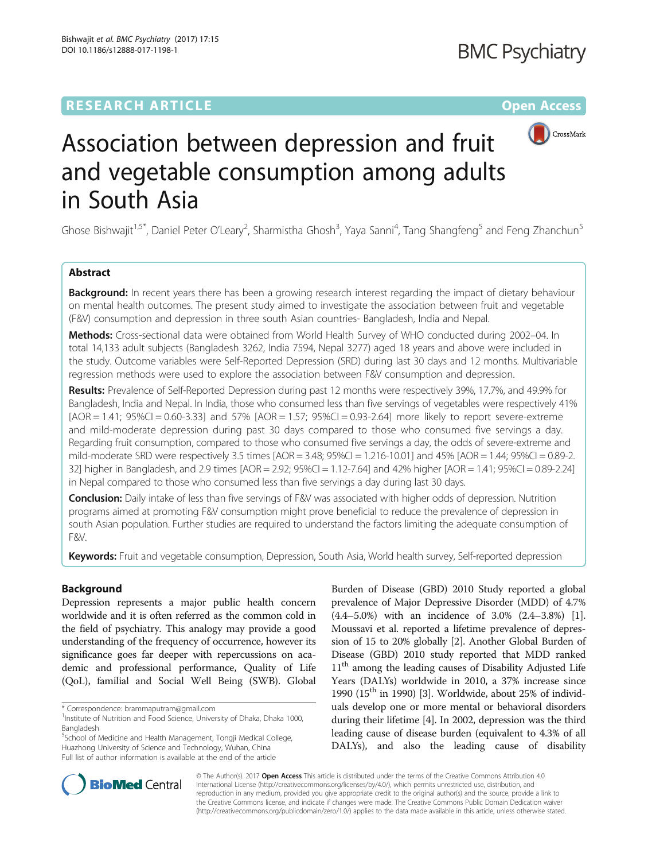## **RESEARCH ARTICLE Example 2014 12:30 The Contract of Contract ACCESS**



# Association between depression and fruit and vegetable consumption among adults in South Asia

Ghose Bishwajit<sup>1,5\*</sup>, Daniel Peter O'Leary<sup>2</sup>, Sharmistha Ghosh<sup>3</sup>, Yaya Sanni<sup>4</sup>, Tang Shangfeng<sup>5</sup> and Feng Zhanchun<sup>5</sup>

#### Abstract

**Background:** In recent years there has been a growing research interest regarding the impact of dietary behaviour on mental health outcomes. The present study aimed to investigate the association between fruit and vegetable (F&V) consumption and depression in three south Asian countries- Bangladesh, India and Nepal.

Methods: Cross-sectional data were obtained from World Health Survey of WHO conducted during 2002-04. In total 14,133 adult subjects (Bangladesh 3262, India 7594, Nepal 3277) aged 18 years and above were included in the study. Outcome variables were Self-Reported Depression (SRD) during last 30 days and 12 months. Multivariable regression methods were used to explore the association between F&V consumption and depression.

Results: Prevalence of Self-Reported Depression during past 12 months were respectively 39%, 17.7%, and 49.9% for Bangladesh, India and Nepal. In India, those who consumed less than five servings of vegetables were respectively 41%  $[AOR = 1.41; 95\% CI = 0.60-3.33]$  and  $57\%$   $[AOR = 1.57; 95\% CI = 0.93-2.64]$  more likely to report severe-extreme and mild-moderate depression during past 30 days compared to those who consumed five servings a day. Regarding fruit consumption, compared to those who consumed five servings a day, the odds of severe-extreme and mild-moderate SRD were respectively 3.5 times  $[AOR = 3.48; 95\% CI = 1.216-10.01]$  and  $45\%$   $[AOR = 1.44; 95\% CI = 0.89-2]$ . 32] higher in Bangladesh, and 2.9 times [AOR = 2.92; 95%CI = 1.12-7.64] and 42% higher [AOR = 1.41; 95%CI = 0.89-2.24] in Nepal compared to those who consumed less than five servings a day during last 30 days.

Conclusion: Daily intake of less than five servings of F&V was associated with higher odds of depression. Nutrition programs aimed at promoting F&V consumption might prove beneficial to reduce the prevalence of depression in south Asian population. Further studies are required to understand the factors limiting the adequate consumption of F&V.

Keywords: Fruit and vegetable consumption, Depression, South Asia, World health survey, Self-reported depression

#### Background

Depression represents a major public health concern worldwide and it is often referred as the common cold in the field of psychiatry. This analogy may provide a good understanding of the frequency of occurrence, however its significance goes far deeper with repercussions on academic and professional performance, Quality of Life (QoL), familial and Social Well Being (SWB). Global

5 School of Medicine and Health Management, Tongji Medical College, Huazhong University of Science and Technology, Wuhan, China Full list of author information is available at the end of the article

Burden of Disease (GBD) 2010 Study reported a global prevalence of Major Depressive Disorder (MDD) of 4.7% (4.4–5.0%) with an incidence of 3.0% (2.4–3.8%) [[1](#page-7-0)]. Moussavi et al. reported a lifetime prevalence of depression of 15 to 20% globally [[2\]](#page-7-0). Another Global Burden of Disease (GBD) 2010 study reported that MDD ranked 11<sup>th</sup> among the leading causes of Disability Adjusted Life Years (DALYs) worldwide in 2010, a 37% increase since 1990 ( $15<sup>th</sup>$  in 1990) [[3](#page-7-0)]. Worldwide, about 25% of individuals develop one or more mental or behavioral disorders during their lifetime [[4](#page-7-0)]. In 2002, depression was the third leading cause of disease burden (equivalent to 4.3% of all DALYs), and also the leading cause of disability



© The Author(s). 2017 **Open Access** This article is distributed under the terms of the Creative Commons Attribution 4.0 International License [\(http://creativecommons.org/licenses/by/4.0/](http://creativecommons.org/licenses/by/4.0/)), which permits unrestricted use, distribution, and reproduction in any medium, provided you give appropriate credit to the original author(s) and the source, provide a link to the Creative Commons license, and indicate if changes were made. The Creative Commons Public Domain Dedication waiver [\(http://creativecommons.org/publicdomain/zero/1.0/](http://creativecommons.org/publicdomain/zero/1.0/)) applies to the data made available in this article, unless otherwise stated.

<sup>\*</sup> Correspondence: [brammaputram@gmail.com](mailto:brammaputram@gmail.com) <sup>1</sup>

<sup>&</sup>lt;sup>1</sup>Institute of Nutrition and Food Science, University of Dhaka, Dhaka 1000, Bangladesh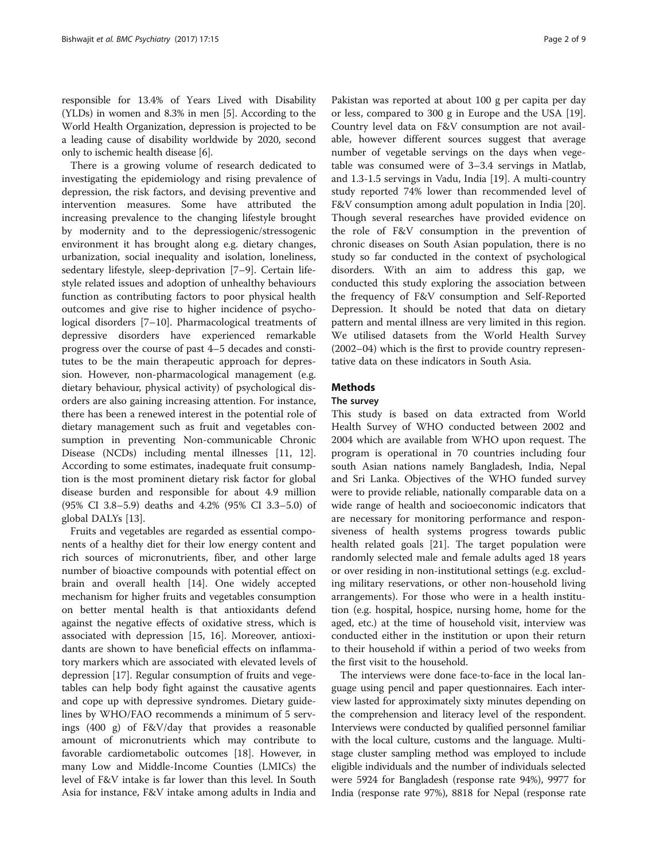responsible for 13.4% of Years Lived with Disability (YLDs) in women and 8.3% in men [\[5](#page-7-0)]. According to the World Health Organization, depression is projected to be a leading cause of disability worldwide by 2020, second only to ischemic health disease [[6\]](#page-7-0).

There is a growing volume of research dedicated to investigating the epidemiology and rising prevalence of depression, the risk factors, and devising preventive and intervention measures. Some have attributed the increasing prevalence to the changing lifestyle brought by modernity and to the depressiogenic/stressogenic environment it has brought along e.g. dietary changes, urbanization, social inequality and isolation, loneliness, sedentary lifestyle, sleep-deprivation [[7](#page-7-0)–[9](#page-7-0)]. Certain lifestyle related issues and adoption of unhealthy behaviours function as contributing factors to poor physical health outcomes and give rise to higher incidence of psychological disorders [\[7](#page-7-0)–[10\]](#page-7-0). Pharmacological treatments of depressive disorders have experienced remarkable progress over the course of past 4–5 decades and constitutes to be the main therapeutic approach for depression. However, non-pharmacological management (e.g. dietary behaviour, physical activity) of psychological disorders are also gaining increasing attention. For instance, there has been a renewed interest in the potential role of dietary management such as fruit and vegetables consumption in preventing Non-communicable Chronic Disease (NCDs) including mental illnesses [\[11](#page-7-0), [12](#page-7-0)]. According to some estimates, inadequate fruit consumption is the most prominent dietary risk factor for global disease burden and responsible for about 4.9 million (95% CI 3.8–5.9) deaths and 4.2% (95% CI 3.3–5.0) of global DALYs [\[13](#page-7-0)].

Fruits and vegetables are regarded as essential components of a healthy diet for their low energy content and rich sources of micronutrients, fiber, and other large number of bioactive compounds with potential effect on brain and overall health [[14\]](#page-7-0). One widely accepted mechanism for higher fruits and vegetables consumption on better mental health is that antioxidants defend against the negative effects of oxidative stress, which is associated with depression [[15](#page-7-0), [16\]](#page-7-0). Moreover, antioxidants are shown to have beneficial effects on inflammatory markers which are associated with elevated levels of depression [\[17](#page-7-0)]. Regular consumption of fruits and vegetables can help body fight against the causative agents and cope up with depressive syndromes. Dietary guidelines by WHO/FAO recommends a minimum of 5 servings (400 g) of F&V/day that provides a reasonable amount of micronutrients which may contribute to favorable cardiometabolic outcomes [\[18](#page-7-0)]. However, in many Low and Middle-Income Counties (LMICs) the level of F&V intake is far lower than this level. In South Asia for instance, F&V intake among adults in India and

Pakistan was reported at about 100 g per capita per day or less, compared to 300 g in Europe and the USA [\[19](#page-7-0)]. Country level data on F&V consumption are not available, however different sources suggest that average number of vegetable servings on the days when vegetable was consumed were of 3–3.4 servings in Matlab, and 1.3-1.5 servings in Vadu, India [[19](#page-7-0)]. A multi-country study reported 74% lower than recommended level of F&V consumption among adult population in India [\[20](#page-7-0)]. Though several researches have provided evidence on the role of F&V consumption in the prevention of chronic diseases on South Asian population, there is no study so far conducted in the context of psychological disorders. With an aim to address this gap, we conducted this study exploring the association between the frequency of F&V consumption and Self-Reported Depression. It should be noted that data on dietary pattern and mental illness are very limited in this region. We utilised datasets from the World Health Survey (2002–04) which is the first to provide country representative data on these indicators in South Asia.

#### Methods

#### The survey

This study is based on data extracted from World Health Survey of WHO conducted between 2002 and 2004 which are available from WHO upon request. The program is operational in 70 countries including four south Asian nations namely Bangladesh, India, Nepal and Sri Lanka. Objectives of the WHO funded survey were to provide reliable, nationally comparable data on a wide range of health and socioeconomic indicators that are necessary for monitoring performance and responsiveness of health systems progress towards public health related goals [\[21\]](#page-7-0). The target population were randomly selected male and female adults aged 18 years or over residing in non-institutional settings (e.g. excluding military reservations, or other non-household living arrangements). For those who were in a health institution (e.g. hospital, hospice, nursing home, home for the aged, etc.) at the time of household visit, interview was conducted either in the institution or upon their return to their household if within a period of two weeks from the first visit to the household.

The interviews were done face-to-face in the local language using pencil and paper questionnaires. Each interview lasted for approximately sixty minutes depending on the comprehension and literacy level of the respondent. Interviews were conducted by qualified personnel familiar with the local culture, customs and the language. Multistage cluster sampling method was employed to include eligible individuals and the number of individuals selected were 5924 for Bangladesh (response rate 94%), 9977 for India (response rate 97%), 8818 for Nepal (response rate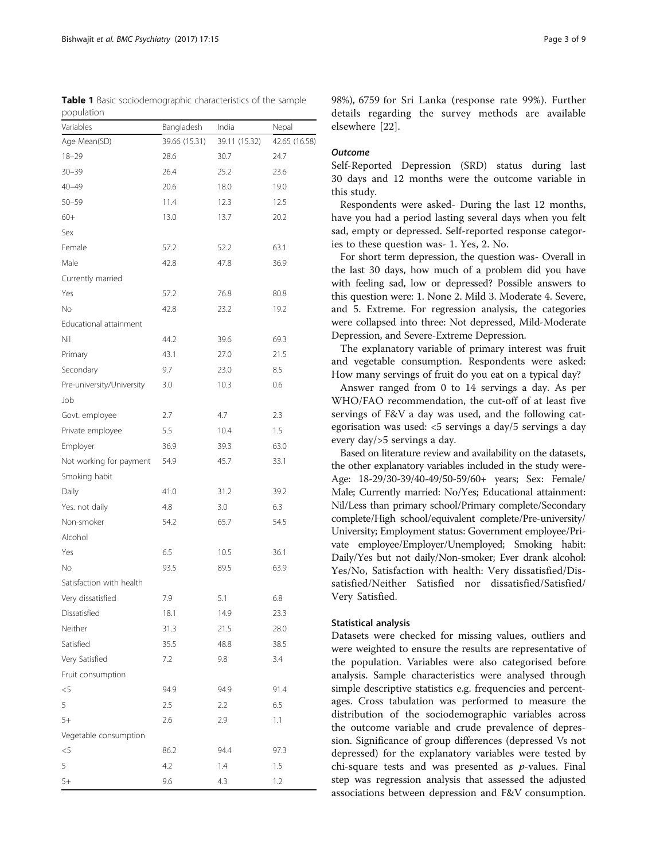<span id="page-2-0"></span>Table 1 Basic sociodemographic characteristics of the sample population

| Variables                 | Bangladesh    | India         | Nepal         |
|---------------------------|---------------|---------------|---------------|
| Age Mean(SD)              | 39.66 (15.31) | 39.11 (15.32) | 42.65 (16.58) |
| $18 - 29$                 | 28.6          | 30.7          | 24.7          |
| $30 - 39$                 | 26.4          | 25.2          | 23.6          |
| $40 - 49$                 | 20.6          | 18.0          | 19.0          |
| $50 - 59$                 | 11.4          | 12.3          | 12.5          |
| $60+$                     | 13.0          | 13.7          | 20.2          |
| Sex                       |               |               |               |
| Female                    | 57.2          | 52.2          | 63.1          |
| Male                      | 42.8          | 47.8          | 36.9          |
| Currently married         |               |               |               |
| Yes                       | 57.2          | 76.8          | 80.8          |
| No                        | 42.8          | 23.2          | 19.2          |
| Educational attainment    |               |               |               |
| Nil                       | 44.2          | 39.6          | 69.3          |
| Primary                   | 43.1          | 27.0          | 21.5          |
| Secondary                 | 9.7           | 23.0          | 8.5           |
| Pre-university/University | 3.0           | 10.3          | 0.6           |
| Job                       |               |               |               |
| Govt. employee            | 2.7           | 4.7           | 2.3           |
| Private employee<br>5.5   |               | 10.4          | 1.5           |
| Employer                  | 36.9          | 39.3          | 63.0          |
| Not working for payment   | 54.9          | 45.7          | 33.1          |
| Smoking habit             |               |               |               |
| Daily                     | 41.0          | 31.2          | 39.2          |
| Yes. not daily            | 4.8           | 3.0           | 6.3           |
| Non-smoker                | 54.2          | 65.7          | 54.5          |
| Alcohol                   |               |               |               |
| 6.5<br>Yes                |               | 10.5          | 36.1          |
| No                        | 93.5          | 89.5          | 63.9          |
| Satisfaction with health  |               |               |               |
| Very dissatisfied<br>7.9  |               | 5.1           | 6.8           |
| Dissatisfied              | 18.1          | 14.9          | 23.3          |
| Neither                   | 31.3          | 21.5          | 28.0          |
| Satisfied                 | 35.5          | 48.8          | 38.5          |
| Very Satisfied            | 7.2           | 9.8           | 3.4           |
| Fruit consumption         |               |               |               |
| $<$ 5                     | 94.9          | 94.9          | 91.4          |
| 5                         | 2.5           | 2.2           | 6.5           |
| $5+$                      | 2.6           | 2.9           | 1.1           |
| Vegetable consumption     |               |               |               |
| $< 5$                     | 86.2          | 94.4          | 97.3          |
| 5                         | 4.2           | 1.4           | 1.5           |
| $5+$                      | 9.6           | 4.3           | 1.2           |

98%), 6759 for Sri Lanka (response rate 99%). Further details regarding the survey methods are available elsewhere [[22](#page-8-0)].

#### **Outcome**

Self-Reported Depression (SRD) status during last 30 days and 12 months were the outcome variable in this study.

Respondents were asked- During the last 12 months, have you had a period lasting several days when you felt sad, empty or depressed. Self-reported response categories to these question was- 1. Yes, 2. No.

For short term depression, the question was- Overall in the last 30 days, how much of a problem did you have with feeling sad, low or depressed? Possible answers to this question were: 1. None 2. Mild 3. Moderate 4. Severe, and 5. Extreme. For regression analysis, the categories were collapsed into three: Not depressed, Mild-Moderate Depression, and Severe-Extreme Depression.

The explanatory variable of primary interest was fruit and vegetable consumption. Respondents were asked: How many servings of fruit do you eat on a typical day?

Answer ranged from 0 to 14 servings a day. As per WHO/FAO recommendation, the cut-off of at least five servings of F&V a day was used, and the following categorisation was used: <5 servings a day/5 servings a day every day/>5 servings a day.

Based on literature review and availability on the datasets, the other explanatory variables included in the study were-Age: 18-29/30-39/40-49/50-59/60+ years; Sex: Female/ Male; Currently married: No/Yes; Educational attainment: Nil/Less than primary school/Primary complete/Secondary complete/High school/equivalent complete/Pre-university/ University; Employment status: Government employee/Private employee/Employer/Unemployed; Smoking habit: Daily/Yes but not daily/Non-smoker; Ever drank alcohol: Yes/No, Satisfaction with health: Very dissatisfied/Dissatisfied/Neither Satisfied nor dissatisfied/Satisfied/ Very Satisfied.

#### Statistical analysis

Datasets were checked for missing values, outliers and were weighted to ensure the results are representative of the population. Variables were also categorised before analysis. Sample characteristics were analysed through simple descriptive statistics e.g. frequencies and percentages. Cross tabulation was performed to measure the distribution of the sociodemographic variables across the outcome variable and crude prevalence of depression. Significance of group differences (depressed Vs not depressed) for the explanatory variables were tested by chi-square tests and was presented as  $p$ -values. Final step was regression analysis that assessed the adjusted associations between depression and F&V consumption.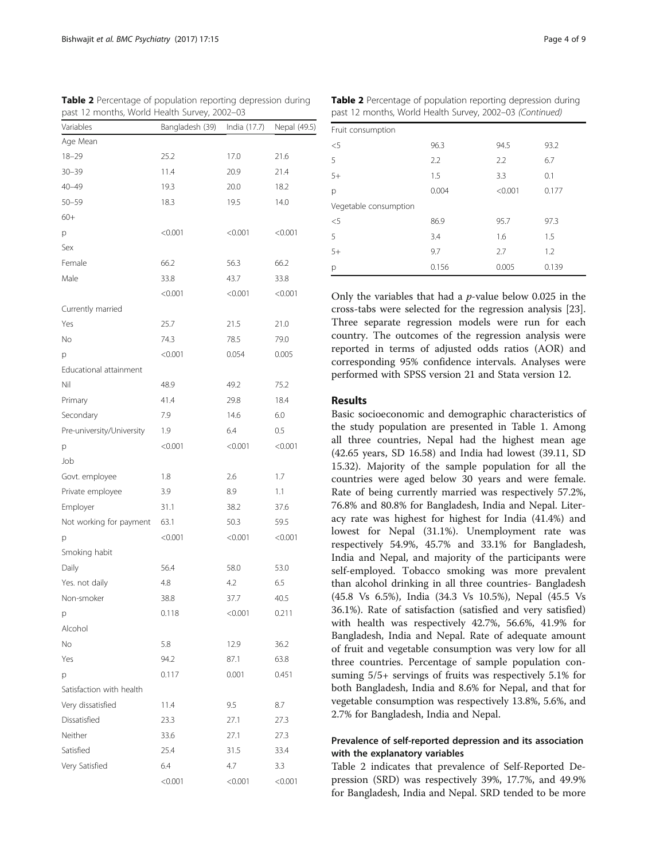| Variables                 | , ,<br>Bangladesh (39) | India (17.7) | Nepal (49.5) |
|---------------------------|------------------------|--------------|--------------|
| Age Mean                  |                        |              |              |
| $18 - 29$                 | 25.2                   | 17.0         | 21.6         |
| $30 - 39$                 | 11.4                   | 20.9         | 21.4         |
| $40 - 49$                 | 19.3                   | 20.0         | 18.2         |
| $50 - 59$                 | 18.3                   | 19.5         | 14.0         |
| $60+$                     |                        |              |              |
| p                         | < 0.001                | < 0.001      | < 0.001      |
| Sex                       |                        |              |              |
| Female                    | 66.2                   | 56.3         | 66.2         |
| Male                      | 33.8                   | 43.7         | 33.8         |
|                           | < 0.001                | < 0.001      | < 0.001      |
| Currently married         |                        |              |              |
| Yes                       | 25.7                   | 21.5         | 21.0         |
| No                        | 74.3                   | 78.5         | 79.0         |
| p                         | < 0.001                | 0.054        | 0.005        |
| Educational attainment    |                        |              |              |
| Nil                       | 48.9                   | 49.2         | 75.2         |
| Primary                   | 41.4                   | 29.8         | 18.4         |
| Secondary                 | 7.9                    | 14.6         | 6.0          |
| Pre-university/University | 1.9                    | 6.4          | 0.5          |
| p                         | < 0.001                | < 0.001      | < 0.001      |
| Job                       |                        |              |              |
| Govt. employee            | 1.8                    | 2.6          | 1.7          |
| Private employee          | 3.9                    | 8.9          | 1.1          |
| Employer                  | 31.1                   | 38.2         | 37.6         |
| Not working for payment   | 63.1                   | 50.3         | 59.5         |
| p                         | < 0.001                | < 0.001      | < 0.001      |
| Smoking habit             |                        |              |              |
| Daily                     | 56.4                   | 58.0         | 53.0         |
| Yes. not daily            | 4.8                    | 4.2          | 6.5          |
| Non-smoker                | 38.8                   | 37.7         | 40.5         |
| p                         | 0.118                  | < 0.001      | 0.211        |
| Alcohol                   |                        |              |              |
| No                        | 5.8                    | 12.9         | 36.2         |
| Yes                       | 94.2                   | 87.1         | 63.8         |
| p                         | 0.117                  | 0.001        | 0.451        |
| Satisfaction with health  |                        |              |              |
| Very dissatisfied         | 11.4                   | 9.5          | 8.7          |
| Dissatisfied              | 23.3                   | 27.1         | 27.3         |
| Neither                   | 33.6                   | 27.1         | 27.3         |
| Satisfied                 | 25.4                   | 31.5         | 33.4         |
| Very Satisfied            | 6.4                    | 4.7          | 3.3          |
|                           | < 0.001                | < 0.001      | < 0.001      |

Table 2 Percentage of population reporting depression during past 12 months, World Health Survey, 2002–03 Table 2 Percentage of population reporting depression during

| past 12 months, World Health Survey, 2002-03 (Continued) |       |         |       |  |  |
|----------------------------------------------------------|-------|---------|-------|--|--|
| Fruit consumption                                        |       |         |       |  |  |
| $<$ 5                                                    | 96.3  | 94.5    | 93.2  |  |  |
| 5                                                        | 2.2   | 2.2     | 6.7   |  |  |
| $5+$                                                     | 1.5   | 3.3     | 0.1   |  |  |
| р                                                        | 0.004 | < 0.001 | 0.177 |  |  |
| Vegetable consumption                                    |       |         |       |  |  |
| $<$ 5                                                    | 86.9  | 95.7    | 97.3  |  |  |
| 5                                                        | 3.4   | 1.6     | 1.5   |  |  |
| $5+$                                                     | 9.7   | 2.7     | 1.2   |  |  |
| р                                                        | 0.156 | 0.005   | 0.139 |  |  |

Only the variables that had a  $p$ -value below 0.025 in the cross-tabs were selected for the regression analysis [\[23](#page-8-0)]. Three separate regression models were run for each country. The outcomes of the regression analysis were reported in terms of adjusted odds ratios (AOR) and corresponding 95% confidence intervals. Analyses were performed with SPSS version 21 and Stata version 12.

#### Results

Basic socioeconomic and demographic characteristics of the study population are presented in Table [1.](#page-2-0) Among all three countries, Nepal had the highest mean age (42.65 years, SD 16.58) and India had lowest (39.11, SD 15.32). Majority of the sample population for all the countries were aged below 30 years and were female. Rate of being currently married was respectively 57.2%, 76.8% and 80.8% for Bangladesh, India and Nepal. Literacy rate was highest for highest for India (41.4%) and lowest for Nepal (31.1%). Unemployment rate was respectively 54.9%, 45.7% and 33.1% for Bangladesh, India and Nepal, and majority of the participants were self-employed. Tobacco smoking was more prevalent than alcohol drinking in all three countries- Bangladesh (45.8 Vs 6.5%), India (34.3 Vs 10.5%), Nepal (45.5 Vs 36.1%). Rate of satisfaction (satisfied and very satisfied) with health was respectively 42.7%, 56.6%, 41.9% for Bangladesh, India and Nepal. Rate of adequate amount of fruit and vegetable consumption was very low for all three countries. Percentage of sample population consuming 5/5+ servings of fruits was respectively 5.1% for both Bangladesh, India and 8.6% for Nepal, and that for vegetable consumption was respectively 13.8%, 5.6%, and 2.7% for Bangladesh, India and Nepal.

#### Prevalence of self-reported depression and its association with the explanatory variables

Table 2 indicates that prevalence of Self-Reported Depression (SRD) was respectively 39%, 17.7%, and 49.9% for Bangladesh, India and Nepal. SRD tended to be more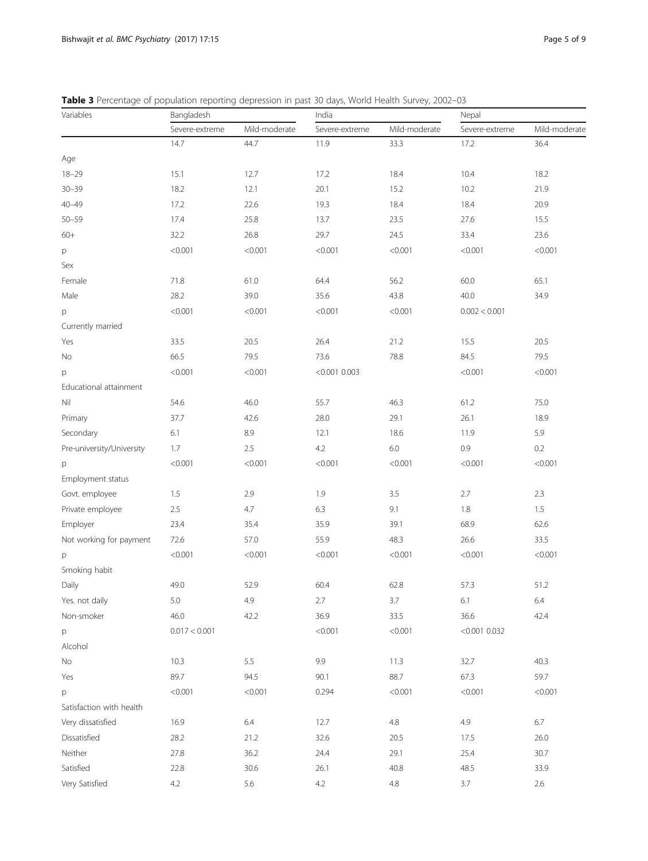<span id="page-4-0"></span>Table 3 Percentage of population reporting depression in past 30 days, World Health Survey, 2002-03

| Variables                 | Bangladesh     |               | India           |               | Nepal           |               |
|---------------------------|----------------|---------------|-----------------|---------------|-----------------|---------------|
|                           | Severe-extreme | Mild-moderate | Severe-extreme  | Mild-moderate | Severe-extreme  | Mild-moderate |
|                           | 14.7           | 44.7          | 11.9            | 33.3          | 17.2            | 36.4          |
| Age                       |                |               |                 |               |                 |               |
| $18 - 29$                 | 15.1           | 12.7          | 17.2            | 18.4          | 10.4            | 18.2          |
| $30 - 39$                 | 18.2           | 12.1          | 20.1            | 15.2          | 10.2            | 21.9          |
| $40 - 49$                 | 17.2           | 22.6          | 19.3            | 18.4          | 18.4            | 20.9          |
| $50 - 59$                 | 17.4           | 25.8          | 13.7            | 23.5          | 27.6            | 15.5          |
| $60+$                     | 32.2           | 26.8          | 29.7            | 24.5          | 33.4            | 23.6          |
| р                         | < 0.001        | < 0.001       | < 0.001         | < 0.001       | < 0.001         | < 0.001       |
| Sex                       |                |               |                 |               |                 |               |
| Female                    | 71.8           | 61.0          | 64.4            | 56.2          | 60.0            | 65.1          |
| Male                      | 28.2           | 39.0          | 35.6            | 43.8          | 40.0            | 34.9          |
| p                         | < 0.001        | < 0.001       | < 0.001         | < 0.001       | 0.002 < 0.001   |               |
| Currently married         |                |               |                 |               |                 |               |
| Yes                       | 33.5           | 20.5          | 26.4            | 21.2          | 15.5            | 20.5          |
| No                        | 66.5           | 79.5          | 73.6            | 78.8          | 84.5            | 79.5          |
| p                         | < 0.001        | < 0.001       | $< 0.001$ 0.003 |               | < 0.001         | < 0.001       |
| Educational attainment    |                |               |                 |               |                 |               |
| Nil                       | 54.6           | 46.0          | 55.7            | 46.3          | 61.2            | 75.0          |
| Primary                   | 37.7           | 42.6          | 28.0            | 29.1          | 26.1            | 18.9          |
| Secondary                 | 6.1            | 8.9           | 12.1            | 18.6          | 11.9            | 5.9           |
| Pre-university/University | 1.7            | 2.5           | 4.2             | $6.0\,$       | 0.9             | 0.2           |
| p                         | < 0.001        | < 0.001       | < 0.001         | < 0.001       | < 0.001         | < 0.001       |
| Employment status         |                |               |                 |               |                 |               |
| Govt. employee            | 1.5            | 2.9           | 1.9             | 3.5           | 2.7             | 2.3           |
| Private employee          | 2.5            | 4.7           | 6.3             | 9.1           | 1.8             | 1.5           |
| Employer                  | 23.4           | 35.4          | 35.9            | 39.1          | 68.9            | 62.6          |
| Not working for payment   | 72.6           | 57.0          | 55.9            | 48.3          | 26.6            | 33.5          |
| p                         | < 0.001        | < 0.001       | < 0.001         | < 0.001       | < 0.001         | < 0.001       |
| Smoking habit             |                |               |                 |               |                 |               |
| Daily                     | 49.0           | 52.9          | 60.4            | 62.8          | 57.3            | 51.2          |
| Yes. not daily            | 5.0            | 4.9           | 2.7             | 3.7           | $6.1$           | $6.4\,$       |
| Non-smoker                | 46.0           | 42.2          | 36.9            | 33.5          | 36.6            | 42.4          |
| p                         | 0.017 < 0.001  |               | < 0.001         | < 0.001       | $< 0.001$ 0.032 |               |
| Alcohol                   |                |               |                 |               |                 |               |
| No                        | 10.3           | 5.5           | 9.9             | 11.3          | 32.7            | 40.3          |
| Yes                       | 89.7           | 94.5          | 90.1            | 88.7          | 67.3            | 59.7          |
| р                         | < 0.001        | < 0.001       | 0.294           | < 0.001       | < 0.001         | < 0.001       |
| Satisfaction with health  |                |               |                 |               |                 |               |
| Very dissatisfied         | 16.9           | $6.4$         | 12.7            | $4.8\,$       | 4.9             | 6.7           |
| Dissatisfied              | 28.2           | 21.2          | 32.6            | 20.5          | 17.5            | 26.0          |
| Neither                   | 27.8           | 36.2          | 24.4            | 29.1          | 25.4            | 30.7          |
| Satisfied                 | 22.8           | 30.6          | 26.1            | 40.8          | 48.5            | 33.9          |
| Very Satisfied            | 4.2            | 5.6           | 4.2             | $4.8\,$       | $3.7\,$         | 2.6           |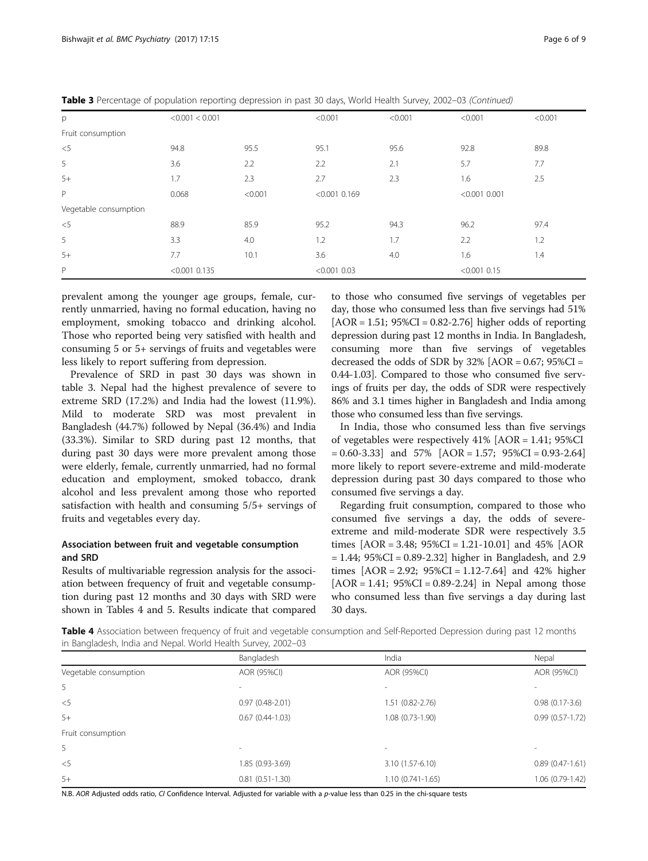| p                     | < 0.001 < 0.001 |         | < 0.001         | < 0.001 | < 0.001         | < 0.001 |
|-----------------------|-----------------|---------|-----------------|---------|-----------------|---------|
| Fruit consumption     |                 |         |                 |         |                 |         |
| $<$ 5                 | 94.8            | 95.5    | 95.1            | 95.6    | 92.8            | 89.8    |
| 5                     | 3.6             | 2.2     | 2.2             | 2.1     | 5.7             | 7.7     |
| $5+$                  | 1.7             | 2.3     | 2.7             | 2.3     | 1.6             | 2.5     |
| P                     | 0.068           | < 0.001 | $< 0.001$ 0.169 |         | $< 0.001$ 0.001 |         |
| Vegetable consumption |                 |         |                 |         |                 |         |
| $<$ 5                 | 88.9            | 85.9    | 95.2            | 94.3    | 96.2            | 97.4    |
| 5                     | 3.3             | 4.0     | 1.2             | 1.7     | 2.2             | 1.2     |
| $5+$                  | 7.7             | 10.1    | 3.6             | 4.0     | 1.6             | 1.4     |
| $\mathsf{P}$          | $< 0.001$ 0.135 |         | $< 0.001$ 0.03  |         | $< 0.001$ 0.15  |         |

Table 3 Percentage of population reporting depression in past 30 days, World Health Survey, 2002-03 (Continued)

prevalent among the younger age groups, female, currently unmarried, having no formal education, having no employment, smoking tobacco and drinking alcohol. Those who reported being very satisfied with health and consuming 5 or 5+ servings of fruits and vegetables were less likely to report suffering from depression.

Prevalence of SRD in past 30 days was shown in table [3.](#page-4-0) Nepal had the highest prevalence of severe to extreme SRD (17.2%) and India had the lowest (11.9%). Mild to moderate SRD was most prevalent in Bangladesh (44.7%) followed by Nepal (36.4%) and India (33.3%). Similar to SRD during past 12 months, that during past 30 days were more prevalent among those were elderly, female, currently unmarried, had no formal education and employment, smoked tobacco, drank alcohol and less prevalent among those who reported satisfaction with health and consuming 5/5+ servings of fruits and vegetables every day.

#### Association between fruit and vegetable consumption and SRD

Results of multivariable regression analysis for the association between frequency of fruit and vegetable consumption during past 12 months and 30 days with SRD were shown in Tables 4 and [5](#page-6-0). Results indicate that compared

to those who consumed five servings of vegetables per day, those who consumed less than five servings had 51%  $[AOR = 1.51; 95\%CI = 0.82-2.76]$  higher odds of reporting depression during past 12 months in India. In Bangladesh, consuming more than five servings of vegetables decreased the odds of SDR by  $32\%$  [AOR = 0.67;  $95\%$ CI = 0.44-1.03]. Compared to those who consumed five servings of fruits per day, the odds of SDR were respectively 86% and 3.1 times higher in Bangladesh and India among those who consumed less than five servings.

In India, those who consumed less than five servings of vegetables were respectively 41% [AOR = 1.41; 95%CI  $= 0.60 - 3.33$  and  $57\%$  [AOR  $= 1.57$ ;  $95\%$ CI  $= 0.93 - 2.64$ ] more likely to report severe-extreme and mild-moderate depression during past 30 days compared to those who consumed five servings a day.

Regarding fruit consumption, compared to those who consumed five servings a day, the odds of severeextreme and mild-moderate SDR were respectively 3.5 times  $[AOR = 3.48; 95\%CI = 1.21-10.01]$  and 45%  $[AOR$ = 1.44; 95%CI = 0.89-2.32] higher in Bangladesh, and 2.9 times  $[AOR = 2.92; 95\%CI = 1.12-7.64]$  and 42% higher  $[AOR = 1.41; 95\%CI = 0.89 - 2.24]$  in Nepal among those who consumed less than five servings a day during last 30 days.

Table 4 Association between frequency of fruit and vegetable consumption and Self-Reported Depression during past 12 months in Bangladesh, India and Nepal. World Health Survey, 2002–03

|                       | Bangladesh        | India                    | Nepal                    |
|-----------------------|-------------------|--------------------------|--------------------------|
| Vegetable consumption | AOR (95%CI)       | AOR (95%CI)              | AOR (95%CI)              |
| 5                     |                   |                          |                          |
| $<$ 5                 | $0.97(0.48-2.01)$ | 1.51 (0.82-2.76)         | $0.98(0.17-3.6)$         |
| $5+$                  | $0.67(0.44-1.03)$ | $1.08(0.73-1.90)$        | $0.99(0.57-1.72)$        |
| Fruit consumption     |                   |                          |                          |
| 5                     | $\sim$            | $\overline{\phantom{a}}$ | $\overline{\phantom{a}}$ |
| $<$ 5                 | 1.85 (0.93-3.69)  | 3.10 (1.57-6.10)         | $0.89(0.47-1.61)$        |
| $5+$                  | $0.81(0.51-1.30)$ | $1.10(0.741 - 1.65)$     | 1.06 (0.79-1.42)         |

N.B. AOR Adjusted odds ratio, CI Confidence Interval. Adjusted for variable with a p-value less than 0.25 in the chi-square tests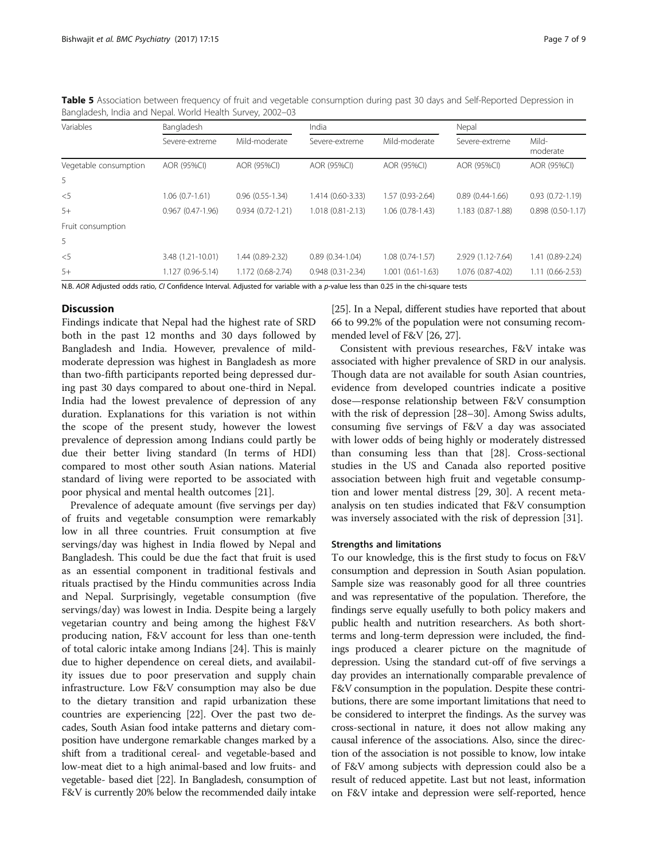| Variables             | Bangladesh         |                      | India                |                      | Nepal               |                     |
|-----------------------|--------------------|----------------------|----------------------|----------------------|---------------------|---------------------|
|                       | Severe-extreme     | Mild-moderate        | Severe-extreme       | Mild-moderate        | Severe-extreme      | Mild-<br>moderate   |
| Vegetable consumption | AOR (95%CI)        | AOR (95%CI)          | AOR (95%CI)          | AOR (95%CI)          | AOR (95%CI)         | AOR (95%CI)         |
| 5                     |                    |                      |                      |                      |                     |                     |
| $<$ 5                 | $1.06(0.7-1.61)$   | $0.96(0.55-1.34)$    | 1.414 (0.60-3.33)    | 1.57 (0.93-2.64)     | $0.89(0.44 - 1.66)$ | $0.93(0.72 - 1.19)$ |
| $5+$                  | $0.967(0.47-1.96)$ | $0.934(0.72 - 1.21)$ | $1.018(0.81 - 2.13)$ | $1.06(0.78-1.43)$    | 1.183 (0.87-1.88)   | $0.898(0.50-1.17)$  |
| Fruit consumption     |                    |                      |                      |                      |                     |                     |
| 5                     |                    |                      |                      |                      |                     |                     |
| $<$ 5                 | 3.48 (1.21-10.01)  | 1.44 (0.89-2.32)     | $0.89(0.34-1.04)$    | $1.08(0.74-1.57)$    | 2.929 (1.12-7.64)   | 1.41 (0.89-2.24)    |
| $5+$                  | 1.127 (0.96-5.14)  | 1.172 (0.68-2.74)    | $0.948(0.31-2.34)$   | $1.001(0.61 - 1.63)$ | 1.076 (0.87-4.02)   | $1.11(0.66 - 2.53)$ |

<span id="page-6-0"></span>Table 5 Association between frequency of fruit and vegetable consumption during past 30 days and Self-Reported Depression in Bangladesh, India and Nepal. World Health Survey, 2002–03

N.B. AOR Adjusted odds ratio, CI Confidence Interval. Adjusted for variable with a p-value less than 0.25 in the chi-square tests

#### **Discussion**

Findings indicate that Nepal had the highest rate of SRD both in the past 12 months and 30 days followed by Bangladesh and India. However, prevalence of mildmoderate depression was highest in Bangladesh as more than two-fifth participants reported being depressed during past 30 days compared to about one-third in Nepal. India had the lowest prevalence of depression of any duration. Explanations for this variation is not within the scope of the present study, however the lowest prevalence of depression among Indians could partly be due their better living standard (In terms of HDI) compared to most other south Asian nations. Material standard of living were reported to be associated with poor physical and mental health outcomes [\[21\]](#page-7-0).

Prevalence of adequate amount (five servings per day) of fruits and vegetable consumption were remarkably low in all three countries. Fruit consumption at five servings/day was highest in India flowed by Nepal and Bangladesh. This could be due the fact that fruit is used as an essential component in traditional festivals and rituals practised by the Hindu communities across India and Nepal. Surprisingly, vegetable consumption (five servings/day) was lowest in India. Despite being a largely vegetarian country and being among the highest F&V producing nation, F&V account for less than one-tenth of total caloric intake among Indians [\[24](#page-8-0)]. This is mainly due to higher dependence on cereal diets, and availability issues due to poor preservation and supply chain infrastructure. Low F&V consumption may also be due to the dietary transition and rapid urbanization these countries are experiencing [\[22\]](#page-8-0). Over the past two decades, South Asian food intake patterns and dietary composition have undergone remarkable changes marked by a shift from a traditional cereal- and vegetable-based and low-meat diet to a high animal-based and low fruits- and vegetable- based diet [\[22\]](#page-8-0). In Bangladesh, consumption of F&V is currently 20% below the recommended daily intake

[[25](#page-8-0)]. In a Nepal, different studies have reported that about 66 to 99.2% of the population were not consuming recommended level of F&V [[26](#page-8-0), [27\]](#page-8-0).

Consistent with previous researches, F&V intake was associated with higher prevalence of SRD in our analysis. Though data are not available for south Asian countries, evidence from developed countries indicate a positive dose—response relationship between F&V consumption with the risk of depression [[28](#page-8-0)–[30](#page-8-0)]. Among Swiss adults, consuming five servings of F&V a day was associated with lower odds of being highly or moderately distressed than consuming less than that [\[28\]](#page-8-0). Cross-sectional studies in the US and Canada also reported positive association between high fruit and vegetable consumption and lower mental distress [[29, 30](#page-8-0)]. A recent metaanalysis on ten studies indicated that F&V consumption was inversely associated with the risk of depression [[31\]](#page-8-0).

#### Strengths and limitations

To our knowledge, this is the first study to focus on F&V consumption and depression in South Asian population. Sample size was reasonably good for all three countries and was representative of the population. Therefore, the findings serve equally usefully to both policy makers and public health and nutrition researchers. As both shortterms and long-term depression were included, the findings produced a clearer picture on the magnitude of depression. Using the standard cut-off of five servings a day provides an internationally comparable prevalence of F&V consumption in the population. Despite these contributions, there are some important limitations that need to be considered to interpret the findings. As the survey was cross-sectional in nature, it does not allow making any causal inference of the associations. Also, since the direction of the association is not possible to know, low intake of F&V among subjects with depression could also be a result of reduced appetite. Last but not least, information on F&V intake and depression were self-reported, hence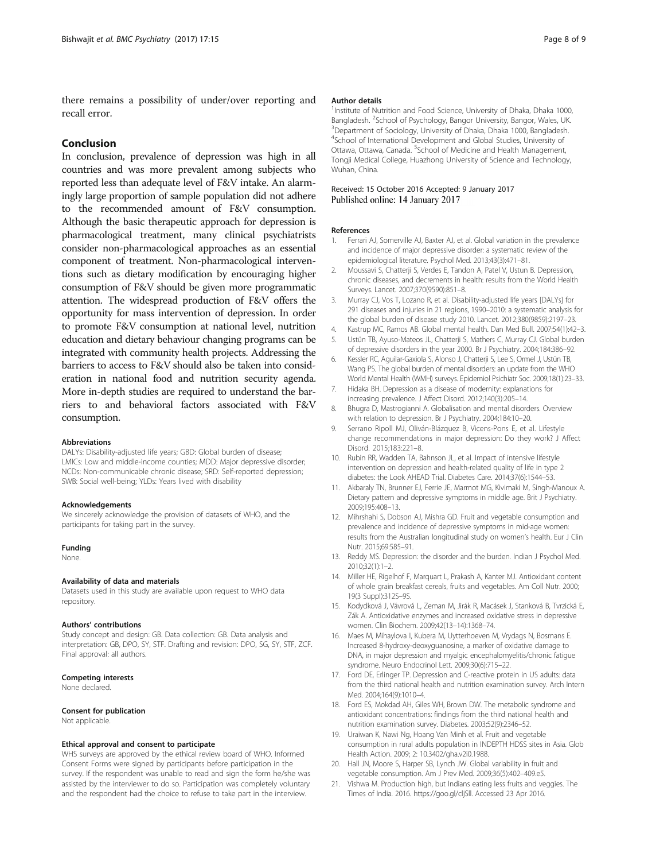<span id="page-7-0"></span>there remains a possibility of under/over reporting and recall error.

#### Conclusion

In conclusion, prevalence of depression was high in all countries and was more prevalent among subjects who reported less than adequate level of F&V intake. An alarmingly large proportion of sample population did not adhere to the recommended amount of F&V consumption. Although the basic therapeutic approach for depression is pharmacological treatment, many clinical psychiatrists consider non-pharmacological approaches as an essential component of treatment. Non-pharmacological interventions such as dietary modification by encouraging higher consumption of F&V should be given more programmatic attention. The widespread production of F&V offers the opportunity for mass intervention of depression. In order to promote F&V consumption at national level, nutrition education and dietary behaviour changing programs can be integrated with community health projects. Addressing the barriers to access to F&V should also be taken into consideration in national food and nutrition security agenda. More in-depth studies are required to understand the barriers to and behavioral factors associated with F&V consumption.

#### Abbreviations

DALYs: Disability-adjusted life years; GBD: Global burden of disease; LMICs: Low and middle-income counties; MDD: Major depressive disorder; NCDs: Non-communicable chronic disease; SRD: Self-reported depression; SWB: Social well-being; YLDs: Years lived with disability

#### Acknowledgements

We sincerely acknowledge the provision of datasets of WHO, and the participants for taking part in the survey.

#### Funding

None.

#### Availability of data and materials

Datasets used in this study are available upon request to WHO data repository.

#### Authors' contributions

Study concept and design: GB. Data collection: GB. Data analysis and interpretation: GB, DPO, SY, STF. Drafting and revision: DPO, SG, SY, STF, ZCF. Final approval: all authors.

#### Competing interests

None declared.

#### Consent for publication

Not applicable.

#### Ethical approval and consent to participate

WHS surveys are approved by the ethical review board of WHO. Informed Consent Forms were signed by participants before participation in the survey. If the respondent was unable to read and sign the form he/she was assisted by the interviewer to do so. Participation was completely voluntary and the respondent had the choice to refuse to take part in the interview.

#### Author details

<sup>1</sup>Institute of Nutrition and Food Science, University of Dhaka, Dhaka 1000 Bangladesh. <sup>2</sup> School of Psychology, Bangor University, Bangor, Wales, UK.<br><sup>3</sup> Department of Sociology, University of Dhaka, Dhaka, 1000, Bangladesh. <sup>3</sup>Department of Sociology, University of Dhaka, Dhaka 1000, Bangladesh. 4 School of International Development and Global Studies, University of Ottawa, Ottawa, Canada. <sup>5</sup>School of Medicine and Health Management, Tongji Medical College, Huazhong University of Science and Technology, Wuhan, China.

#### Received: 15 October 2016 Accepted: 9 January 2017 Published online: 14 January 2017

#### References

- 1. Ferrari AJ, Somerville AJ, Baxter AJ, et al. Global variation in the prevalence and incidence of major depressive disorder: a systematic review of the epidemiological literature. Psychol Med. 2013;43(3):471–81.
- 2. Moussavi S, Chatterii S, Verdes E, Tandon A, Patel V, Ustun B, Depression, chronic diseases, and decrements in health: results from the World Health Surveys. Lancet. 2007;370(9590):851–8.
- 3. Murray CJ, Vos T, Lozano R, et al. Disability-adjusted life years [DALYs] for 291 diseases and injuries in 21 regions, 1990–2010: a systematic analysis for the global burden of disease study 2010. Lancet. 2012;380(9859):2197–23.
- 4. Kastrup MC, Ramos AB. Global mental health. Dan Med Bull. 2007;54(1):42–3.
- 5. Ustün TB, Ayuso-Mateos JL, Chatterji S, Mathers C, Murray CJ. Global burden of depressive disorders in the year 2000. Br J Psychiatry. 2004;184:386–92.
- 6. Kessler RC, Aguilar-Gaxiola S, Alonso J, Chatterji S, Lee S, Ormel J, Ustün TB, Wang PS. The global burden of mental disorders: an update from the WHO World Mental Health (WMH) surveys. Epidemiol Psichiatr Soc. 2009;18(1):23–33.
- 7. Hidaka BH. Depression as a disease of modernity: explanations for increasing prevalence. J Affect Disord. 2012;140(3):205–14.
- 8. Bhugra D, Mastrogianni A. Globalisation and mental disorders. Overview with relation to depression. Br J Psychiatry. 2004;184:10–20.
- 9. Serrano Ripoll MJ, Oliván-Blázquez B, Vicens-Pons E, et al. Lifestyle change recommendations in major depression: Do they work? J Affect Disord. 2015;183:221–8.
- 10. Rubin RR, Wadden TA, Bahnson JL, et al. Impact of intensive lifestyle intervention on depression and health-related quality of life in type 2 diabetes: the Look AHEAD Trial. Diabetes Care. 2014;37(6):1544–53.
- 11. Akbaraly TN, Brunner EJ, Ferrie JE, Marmot MG, Kivimaki M, Singh-Manoux A. Dietary pattern and depressive symptoms in middle age. Brit J Psychiatry. 2009;195:408–13.
- 12. Mihrshahi S, Dobson AJ, Mishra GD. Fruit and vegetable consumption and prevalence and incidence of depressive symptoms in mid-age women: results from the Australian longitudinal study on women's health. Eur J Clin Nutr. 2015;69:585–91.
- 13. Reddy MS. Depression: the disorder and the burden. Indian J Psychol Med. 2010;32(1):1–2.
- 14. Miller HE, Rigelhof F, Marquart L, Prakash A, Kanter MJ. Antioxidant content of whole grain breakfast cereals, fruits and vegetables. Am Coll Nutr. 2000; 19(3 Suppl):312S–9S.
- 15. Kodydková J, Vávrová L, Zeman M, Jirák R, Macásek J, Stanková B, Tvrzická E, Zák A. Antioxidative enzymes and increased oxidative stress in depressive women. Clin Biochem. 2009;42(13–14):1368–74.
- 16. Maes M, Mihaylova I, Kubera M, Uytterhoeven M, Vrydags N, Bosmans E. Increased 8-hydroxy-deoxyguanosine, a marker of oxidative damage to DNA, in major depression and myalgic encephalomyelitis/chronic fatigue syndrome. Neuro Endocrinol Lett. 2009;30(6):715–22.
- 17. Ford DE, Erlinger TP. Depression and C-reactive protein in US adults: data from the third national health and nutrition examination survey. Arch Intern Med. 2004;164(9):1010–4.
- 18. Ford ES, Mokdad AH, Giles WH, Brown DW. The metabolic syndrome and antioxidant concentrations: findings from the third national health and nutrition examination survey. Diabetes. 2003;52(9):2346–52.
- 19. Uraiwan K, Nawi Ng, Hoang Van Minh et al. Fruit and vegetable consumption in rural adults population in INDEPTH HDSS sites in Asia. Glob Health Action. 2009; 2: [10.3402/gha.v2i0.1988](http://dx.doi.org/10.3402/gha.v2i0.1988).
- 20. Hall JN, Moore S, Harper SB, Lynch JW. Global variability in fruit and vegetable consumption. Am J Prev Med. 2009;36(5):402–409.e5.
- 21. Vishwa M. Production high, but Indians eating less fruits and veggies. The Times of India. 2016. [https://goo.gl/cljSll.](https://goo.gl/cljSll) Accessed 23 Apr 2016.